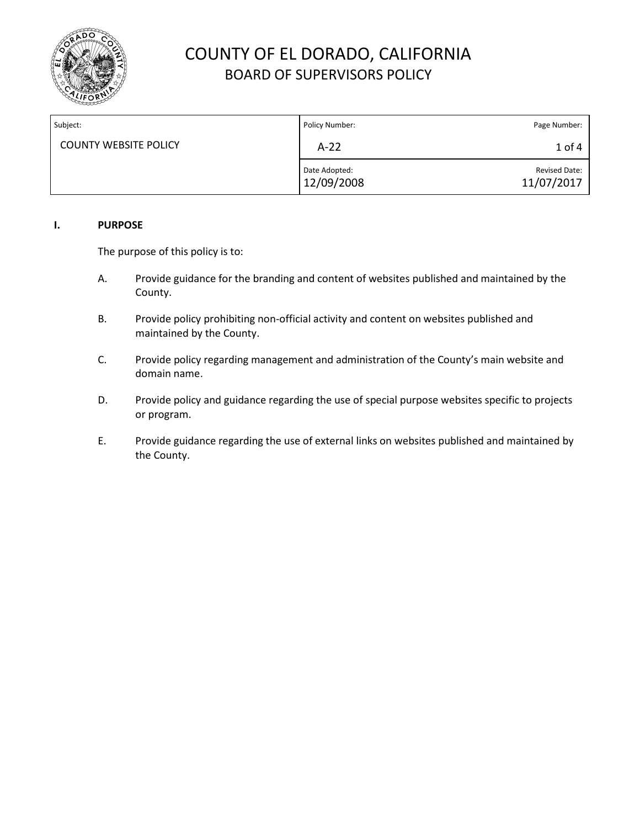

| Subject:                     | Policy Number:              | Page Number:                       |
|------------------------------|-----------------------------|------------------------------------|
| <b>COUNTY WEBSITE POLICY</b> | $A-22$                      | 1 of 4                             |
|                              | Date Adopted:<br>12/09/2008 | <b>Revised Date:</b><br>11/07/2017 |

## **I. PURPOSE**

The purpose of this policy is to:

- A. Provide guidance for the branding and content of websites published and maintained by the County.
- B. Provide policy prohibiting non-official activity and content on websites published and maintained by the County.
- C. Provide policy regarding management and administration of the County's main website and domain name.
- D. Provide policy and guidance regarding the use of special purpose websites specific to projects or program.
- E. Provide guidance regarding the use of external links on websites published and maintained by the County.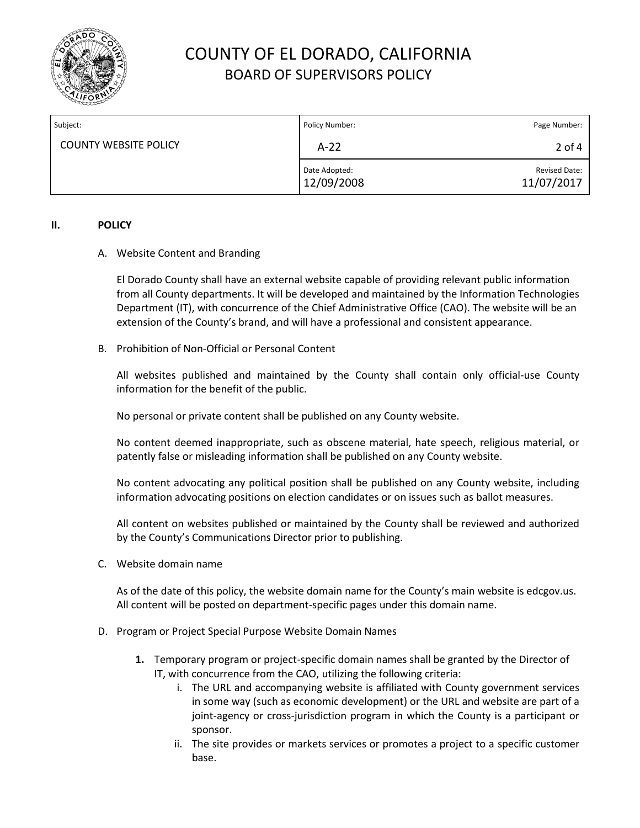

| Subject:                     | Policy Number:              | Page Number:                |
|------------------------------|-----------------------------|-----------------------------|
| <b>COUNTY WEBSITE POLICY</b> | $A-22$                      | 2 of 4                      |
|                              | Date Adopted:<br>12/09/2008 | Revised Date:<br>11/07/2017 |

## **II. POLICY**

## A. Website Content and Branding

El Dorado County shall have an external website capable of providing relevant public information from all County departments. It will be developed and maintained by the Information Technologies Department (IT), with concurrence of the Chief Administrative Office (CAO). The website will be an extension of the County's brand, and will have a professional and consistent appearance.

B. Prohibition of Non-Official or Personal Content

All websites published and maintained by the County shall contain only official-use County information for the benefit of the public.

No personal or private content shall be published on any County website.

No content deemed inappropriate, such as obscene material, hate speech, religious material, or patently false or misleading information shall be published on any County website.

No content advocating any political position shall be published on any County website, including information advocating positions on election candidates or on issues such as ballot measures.

All content on websites published or maintained by the County shall be reviewed and authorized by the County's Communications Director prior to publishing.

C. Website domain name

As of the date of this policy, the website domain name for the County's main website is edcgov.us. All content will be posted on department-specific pages under this domain name.

- D. Program or Project Special Purpose Website Domain Names
	- **1.** Temporary program or project-specific domain names shall be granted by the Director of IT, with concurrence from the CAO, utilizing the following criteria:
		- i. The URL and accompanying website is affiliated with County government services in some way (such as economic development) or the URL and website are part of a joint-agency or cross-jurisdiction program in which the County is a participant or sponsor.
		- ii. The site provides or markets services or promotes a project to a specific customer base.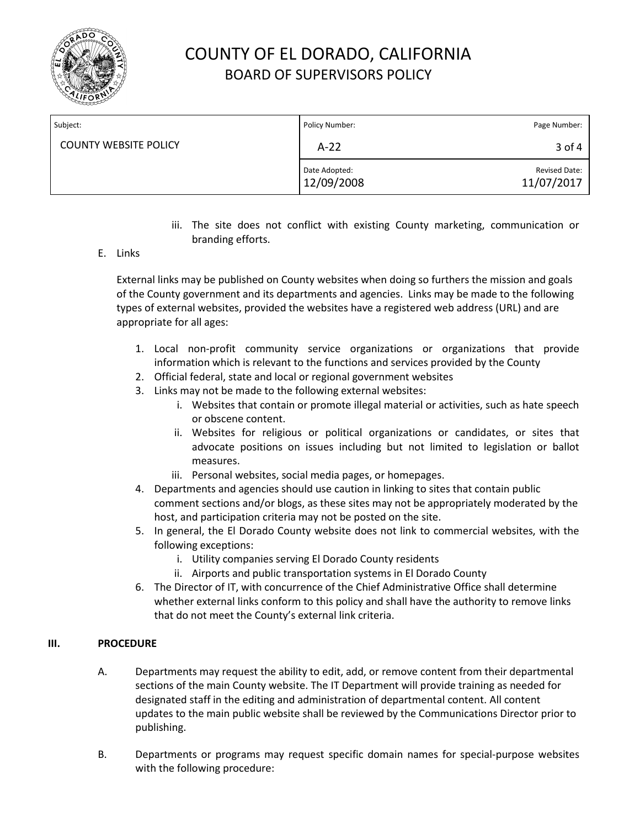

| Subject:                     | Policy Number:              | Page Number:                |
|------------------------------|-----------------------------|-----------------------------|
| <b>COUNTY WEBSITE POLICY</b> | $A-22$                      | 3 of 4                      |
|                              | Date Adopted:<br>12/09/2008 | Revised Date:<br>11/07/2017 |

- iii. The site does not conflict with existing County marketing, communication or branding efforts.
- E. Links

External links may be published on County websites when doing so furthers the mission and goals of the County government and its departments and agencies. Links may be made to the following types of external websites, provided the websites have a registered web address (URL) and are appropriate for all ages:

- 1. Local non-profit community service organizations or organizations that provide information which is relevant to the functions and services provided by the County
- 2. Official federal, state and local or regional government websites
- 3. Links may not be made to the following external websites:
	- i. Websites that contain or promote illegal material or activities, such as hate speech or obscene content.
	- ii. Websites for religious or political organizations or candidates, or sites that advocate positions on issues including but not limited to legislation or ballot measures.
	- iii. Personal websites, social media pages, or homepages.
- 4. Departments and agencies should use caution in linking to sites that contain public comment sections and/or blogs, as these sites may not be appropriately moderated by the host, and participation criteria may not be posted on the site.
- 5. In general, the El Dorado County website does not link to commercial websites, with the following exceptions:
	- i. Utility companies serving El Dorado County residents
	- ii. Airports and public transportation systems in El Dorado County
- 6. The Director of IT, with concurrence of the Chief Administrative Office shall determine whether external links conform to this policy and shall have the authority to remove links that do not meet the County's external link criteria.

## **III. PROCEDURE**

- A. Departments may request the ability to edit, add, or remove content from their departmental sections of the main County website. The IT Department will provide training as needed for designated staff in the editing and administration of departmental content. All content updates to the main public website shall be reviewed by the Communications Director prior to publishing.
- B. Departments or programs may request specific domain names for special-purpose websites with the following procedure: